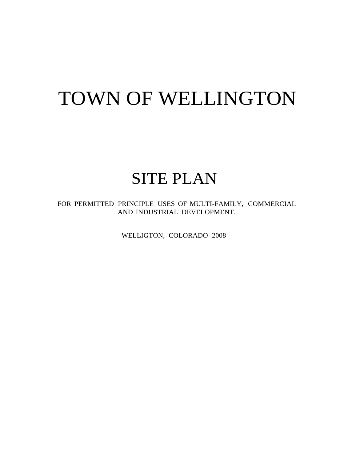# TOWN OF WELLINGTON

## SITE PLAN

FOR PERMITTED PRINCIPLE USES OF MULTI-FAMILY, COMMERCIAL AND INDUSTRIAL DEVELOPMENT.

WELLIGTON, COLORADO 2008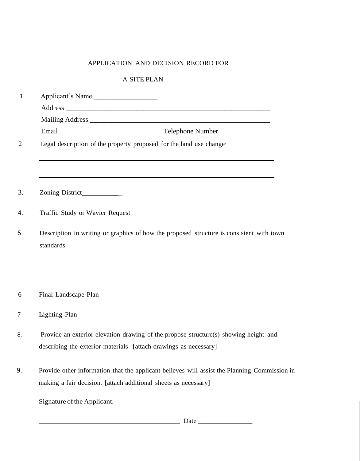## APPLICATION AND DECISION RECORD FOR

## A SITE PLAN

| 1              | Applicant's Name                                                                                                                                                |  |  |  |  |
|----------------|-----------------------------------------------------------------------------------------------------------------------------------------------------------------|--|--|--|--|
|                |                                                                                                                                                                 |  |  |  |  |
|                |                                                                                                                                                                 |  |  |  |  |
|                |                                                                                                                                                                 |  |  |  |  |
| $\overline{2}$ | Legal description of the property proposed for the land use change-                                                                                             |  |  |  |  |
| 3.             | Zoning District_____________                                                                                                                                    |  |  |  |  |
| 4.             | Traffic Study or Wavier Request                                                                                                                                 |  |  |  |  |
| 5              | Description in writing or graphics of how the proposed structure is consistent with town<br>standards                                                           |  |  |  |  |
| 6              | Final Landscape Plan                                                                                                                                            |  |  |  |  |
| 7              | Lighting Plan                                                                                                                                                   |  |  |  |  |
| 8.             | Provide an exterior elevation drawing of the propose structure(s) showing height and<br>describing the exterior materials [attach drawings as necessary]        |  |  |  |  |
| 9.             | Provide other information that the applicant believes will assist the Planning Commission in<br>making a fair decision. [attach additional sheets as necessary] |  |  |  |  |
|                | Signature of the Applicant.                                                                                                                                     |  |  |  |  |

Date \_\_\_\_\_\_\_\_\_\_\_\_\_\_\_\_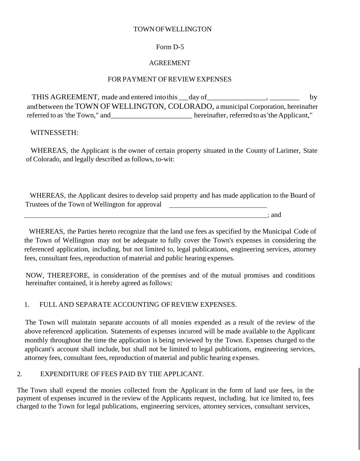### TOWNOFWELLINGTON

## Form D-5

## AGREEMENT

## FOR PAYMENT OF REVIEW EXPENSES

THIS AGREEMENT, made and entered into this \_\_day of \_\_\_\_\_\_\_\_\_\_\_\_\_\_, \_\_\_\_\_\_\_\_\_\_\_ by and between the TOWN OF WELLINGTON, COLORADO, a municipal Corporation, hereinafter referred to as 'the Town," and\_\_\_\_\_\_\_\_\_\_\_\_\_\_\_\_\_\_\_\_\_\_\_\_\_\_\_ hereinafter, referred to as 'the Applicant,"

## WITNESSETH:

WHEREAS, the Applicant is the owner of certain property situated in the County of Larimer, State of Colorado, and legally described asfollows, to-wit:

WHEREAS, the Applicant desires to develop said property and has made application to the Board of Trustees of the Town of Wellington for approval

\_\_\_\_\_\_\_\_\_\_\_\_\_\_\_\_\_\_\_\_\_\_\_\_\_\_\_\_\_\_\_\_\_\_\_\_\_\_\_\_\_\_\_\_\_\_\_\_\_\_\_\_\_\_\_\_\_\_\_\_\_\_\_\_\_\_\_\_\_\_\_\_\_\_\_\_\_\_\_\_\_\_\_; and

WHEREAS, the Parties hereto recognize that the land use fees as specified by the Municipal Code of the Town of Wellington may not be adequate to fully cover the Town's expenses in considering the referenced application, including, but not limited to, legal publications, engineering services, attorney fees, consultant fees, reproduction of material and public hearing expenses.

NOW, THEREFORE, in consideration of the premises and of the mutual promises and conditions hereinafter contained, it is hereby agreed as follows:

## 1. FULL AND SEPARATE ACCOUNTING OFREVIEW EXPENSES.

The Town will maintain separate accounts of all monies expended as a result of the review of the above referenced application. Statements of expenses incurred will be made available to the Applicant monthly throughout the time the application is being reviewed by the Town. Expenses charged to the applicant's account shall include, but shall not be limited to legal publications, engineering services, attorney fees, consultant fees, reproduction of material and public hearing expenses.

## 2. EXPENDITURE OF FEES PAID BY TIIE APPLICANT.

The Town shall expend the monies collected from the Applicant in the form of land use fees, in the payment of expenses incurred in the review of the Applicants request, including. hut ice limited to, fees charged to the Town for legal publications, engineering services, attorney services, consultant services,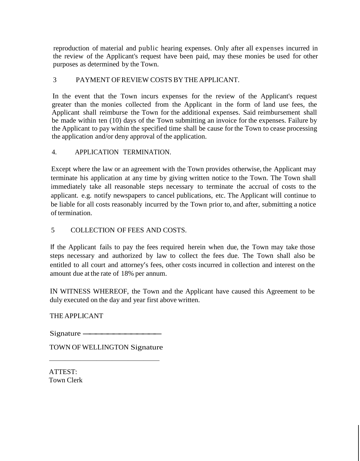reproduction of material and public hearing expenses. Only after all expenses incurred in the review of the Applicant's request have been paid, may these monies be used for other purposes as determined by the Town.

## 3 PAYMENT OFREVIEW COSTS BY THE APPLICANT.

In the event that the Town incurs expenses for the review of the Applicant's request greater than the monies collected from the Applicant in the form of land use fees, the Applicant shall reimburse the Town for the additional expenses. Said reimbursement shall be made within ten (10) days of the Town submitting an invoice for the expenses. Failure by the Applicant to pay within the specified time shall be cause for the Town to cease processing the application and/or deny approval of the application.

## 4. APPLICATION TERMINATION.

Except where the law or an agreement with the Town provides otherwise, the Applicant may terminate his application at any time by giving written notice to the Town. The Town shall immediately take all reasonable steps necessary to terminate the accrual of costs to the applicant. e.g. notify newspapers to cancel publications, etc. The Applicant will continue to be liable for all costs reasonably incurred by the Town prior to, and after, submitting a notice of termination.

## 5 COLLECTION OF FEES AND COSTS.

If the Applicant fails to pay the fees required herein when due, the Town may take those steps necessary and authorized by law to collect the fees due. The Town shall also be entitled to all court and attorney's fees, other costs incurred in collection and interest on the amount due at the rate of 18% per annum.

IN WITNESS WHEREOF, the Town and the Applicant have caused this Agreement to be duly executed on the day and year first above written.

THE APPLICANT

Signature -------------

TOWN OF WELLINGTON Signature TOWN OF WELLINGTON Signatur

ATTEST: Town Clerk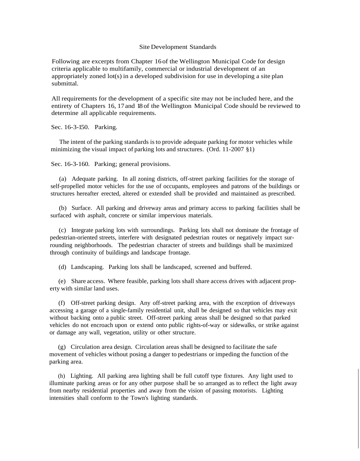#### Site Development Standards

Following are excerpts from Chapter 16 of the Wellington Municipal Code for design criteria applicable to multifamily, commercial or industrial development of an appropriately zoned lot(s) in a developed subdivision for use in developing a site plan submittal.

All requirements for the development of a specific site may not be included here, and the entirety of Chapters 16, 17and 18 of the Wellington Municipal Code should be reviewed to determine all applicable requirements.

Sec. 16-3-150. Parking.

The intent of the parking standards isto provide adequate parking for motor vehicles while minimizing the visual impact of parking lots and structures. (Ord. 11-2007 §1)

Sec. 16-3-160. Parking; general provisions.

(a) Adequate parking. In all zoning districts, off-street parking facilities for the storage of self-propelled motor vehicles for the use of occupants, employees and patrons of the buildings or structures hereafter erected, altered or extended shall be provided and maintained as prescribed.

(b) Surface. All parking and driveway areas and primary access to parking facilities shall be surfaced with asphalt, concrete or similar impervious materials.

(c) Integrate parking lots with surroundings. Parking lots shall not dominate the frontage of pedestrian-oriented streets, interfere with designated pedestrian routes or negatively impact surrounding neighborhoods. The pedestrian character of streets and buildings shall be maximized through continuity of buildings and landscape frontage.

(d) Landscaping. Parking lots shall be landscaped, screened and buffered.

(e) Share access. Where feasible, parking lots shall share access drives with adjacent property with similar land uses.

(f) Off-street parking design. Any off-street parking area, with the exception of driveways accessing a garage of a single-family residential unit, shall be designed so that vehicles may exit without backing onto a public street. Off-street parking areas shall be designed so that parked vehicles do not encroach upon or extend onto public rights-of-way or sidewalks, or strike against or damage any wall, vegetation, utility or other structure.

(g) Circulation area design. Circulation areas shall be designed to facilitate the safe movement of vehicles without posing a danger to pedestrians or impeding the function of the parking area.

(h) Lighting. All parking area lighting shall be full cutoff type fixtures. Any light used to illuminate parking areas or for any other purpose shall be so arranged as to reflect the light away from nearby residential properties and away from the vision of passing motorists. Lighting intensities shall conform to the Town's lighting standards.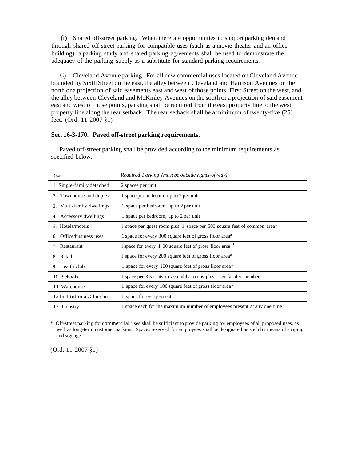(i) Shared off-street parking. When there are opportunities to support parking demand through shared off-street parking for compatible uses (such as a movie theater and an office building), a parking study and shared parking agreements shall be used to demonstrate the adequacy of the parking supply as a substitute for standard parking requirements.

G) Cleveland Avenue parking. For all new commercial uses located on Cleveland Avenue bounded by Sixth Street on the east, the alley between Cleveland and Harrison Avenues on the north or a projection of said easements east and west of those points, First Street on the west, and the alley between Cleveland and McKinley Avenues on the south or a projection of said easement east and west of those points, parking shall be required from the east property line to the west property line along the rear setback. The rear setback shall be a minimum of twenty-five (25) feet. (Ord. 11-2007 §1)

#### **Sec. 16-3-170. Paved off-street parking requirements.**

| U <sub>se</sub>           | Required Parking (must be outside rights-of-way)                         |  |  |  |
|---------------------------|--------------------------------------------------------------------------|--|--|--|
| . Single-family detached  | 2 spaces per unit                                                        |  |  |  |
| 2. Townhouse and duplex   | 1 space per bedroom, up to 2 per unit                                    |  |  |  |
| 3. Multi-family dwellings | 1 space per bedroom, up to 2 per unit                                    |  |  |  |
| 4. Accessory dwellings    | 1 space per bedroom, up to 2 per unit                                    |  |  |  |
| 5. Hotels/motels          | 1 space per guest room plus 1 space per 500 square feet of common area*  |  |  |  |
| 6. Office/business uses   | 1 space for every 300 square feet of gross floor area*                   |  |  |  |
| 7. Restaurant             | 1 space for every 1 00 square feet of gross floor area                   |  |  |  |
| 8. Retail                 | 1 space for every 200 square feet of gross floor area*                   |  |  |  |
| 9. Health club            | 1 space for every 100 square feet of gross floor area*                   |  |  |  |
| 10. Schools               | 1 space per 3.5 seats in assembly rooms plus 1 per faculty member        |  |  |  |
| 11. Warehouse             | 1 space for every 100 square feet of gross floor area*                   |  |  |  |
| 12 Institutional/Churches | 1 space for every 6 seats                                                |  |  |  |
| 13. Industry              | 1 space each for the maximum number of employees present at any one time |  |  |  |

Paved off-street parking shall be provided according to the minimum requirements as specified below:

\* Off-street parking for commerc1al uses shall be sufficient to provide parking for employees of all proposed uses, as well as long-term customer parking. Spaces reserved for employees shall be designated as such by means of striping and signage.

(Ord. 11-2007 §1)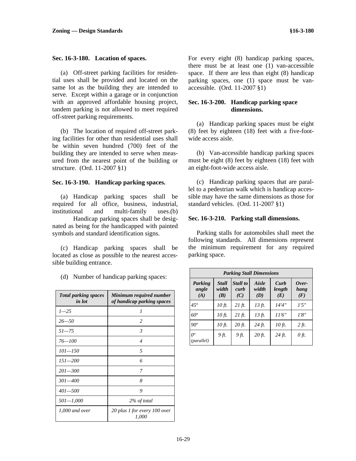#### **Sec. 16-3-180. Location of spaces.**

(a) Off-street parking facilities for residential uses shall be provided and located on the same lot as the building they are intended to serve. Except within a garage or in conjunction with an approved affordable housing project, tandem parking is not allowed to meet required off-street parking requirements.

(b) The location of required off-street parking facilities for other than residential uses shall be within seven hundred (700) feet of the building they are intended to serve when measured from the nearest point of the building or structure. (Ord. 11-2007 §1)

#### **Sec. 16-3-190. Handicap parking spaces.**

(a) Handicap parking spaces shall be required for all office, business, industrial, institutional and multi-family uses.(b)

 Handicap parking spaces shall be designated as being for the handicapped with painted symbols and standard identification signs.

(c) Handicap parking spaces shall be located as close as possible to the nearest accessible building entrance.

*Total parking spaces in lot Minimum required number of handicap parking spaces 1*—25 *1 26—50 2 51—75 3 76—100 4 101—150 5 151—200 6 201—300 7 301—400 8 401—500 9 501—1,000 2% of total 1,000 and over 20 plus 1 for every 100 over 1,000* 

(d) Number of handicap parking spaces:

For every eight (8) handicap parking spaces, there must be at least one (1) van-accessible space. If there are less than eight (8) handicap parking spaces, one (1) space must be vanaccessible. (Ord. 11-2007 §1)

#### **Sec. 16-3-200. Handicap parking space dimensions.**

(a) Handicap parking spaces must be eight (8) feet by eighteen (18) feet with a five-footwide access aisle.

(b) Van-accessible handicap parking spaces must be eight (8) feet by eighteen (18) feet with an eight-foot-wide access aisle.

(c) Handicap parking spaces that are parallel to a pedestrian walk which is handicap accessible may have the same dimensions as those for standard vehicles. (Ord. 11-2007 §1)

#### **Sec. 16-3-210. Parking stall dimensions.**

Parking stalls for automobiles shall meet the following standards. All dimensions represent the minimum requirement for any required parking space.

| <b>Parking Stall Dimensions</b> |                       |                         |                       |                       |                      |  |  |  |
|---------------------------------|-----------------------|-------------------------|-----------------------|-----------------------|----------------------|--|--|--|
| Parking<br>angle<br>(A)         | Stall<br>width<br>(B) | Stall to<br>curb<br>(C) | Aisle<br>width<br>(D) | Curb<br>length<br>(E) | Over-<br>hang<br>(F) |  |  |  |
| $45^\circ$                      | 10 ft.                | $21 \text{ ft.}$        | 13 ft.                | 14'4''                | 1'5''                |  |  |  |
| $60^{\circ}$                    | 10 ft.                | $21 \text{ ft.}$        | $13 \text{ ft.}$      | 11'6''                | 1'8''                |  |  |  |
| $90^o$                          | 10 ft.                | $20$ ft.                | 24 ft.                | 10 ft.                | 2 ft.                |  |  |  |
| $O^o$<br>(parallel)             | 9 ft.                 | 9 ft.                   | $20 \text{ ft.}$      | 24 ft.                | $\theta$ ft.         |  |  |  |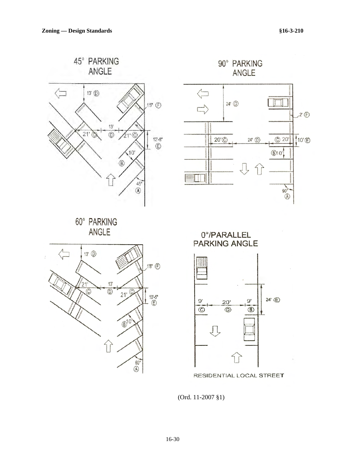

(Ord. 11-2007 §1)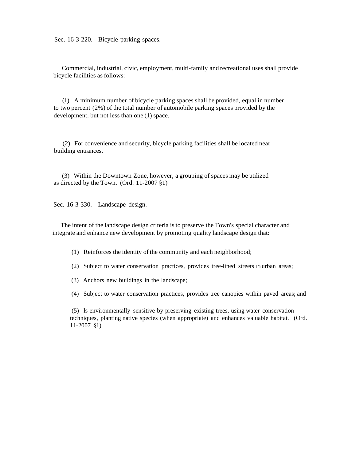Sec. 16-3-220. Bicycle parking spaces.

Commercial, industrial, civic, employment, multi-family and recreational uses shall provide bicycle facilities as follows:

(I) A minimum number of bicycle parking spaces shall be provided, equal in number to two percent (2%) of the total number of automobile parking spaces provided by the development, but not less than one (1) space.

(2) For convenience and security, bicycle parking facilities shall be located near building entrances.

(3) Within the Downtown Zone, however, a grouping of spaces may be utilized as directed by the Town. (Ord. 11-2007 §1)

Sec. 16-3-330. Landscape design.

The intent of the landscape design criteria isto preserve the Town's special character and integrate and enhance new development by promoting quality landscape design that:

- (1) Reinforces the identity of the community and each neighborhood;
- (2) Subject to water conservation practices, provides tree-lined streets in urban areas;
- (3) Anchors new buildings in the landscape;
- (4) Subject to water conservation practices, provides tree canopies within paved areas; and

(5) ls environmentally sensitive by preserving existing trees, using water conservation techniques, planting native species (when appropriate) and enhances valuable habitat. (Ord. 11-2007 §1)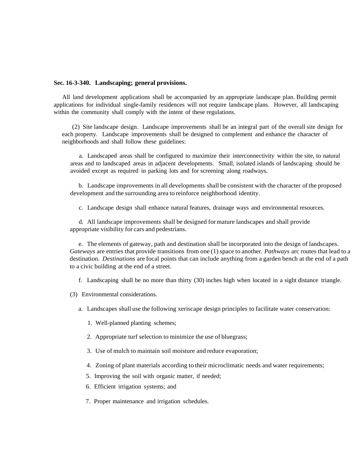#### **Sec. 16-3-340. Landscaping; general provisions.**

All land development applications shall be accompanied by an appropriate landscape plan. Building permit applications for individual single-family residences will not require landscape plans. However, all landscaping within the community shall comply with the intent of these regulations.

(2) Site landscape design. Landscape improvements shall be an integral part of the overall site design for each property. Landscape improvements shall be designed to complement and enhance the character of neighborhoods and shall follow these guidelines:

a. Landscaped areas shall be configured to maximize their interconnectivity within the site, to natural areas and to landscaped areas in adjacent developments. Small, isolated islands of landscaping should be avoided except as required in parking lots and for screening along roadways.

b. Landscape improvements in all developments shall be consistent with the character of the proposed development and the surrounding area to reinforce neighborhood identity.

c. Landscape design shall enhance natural features, drainage ways and environmental resources.

d. All landscape improvements shall be designed for mature landscapes and shall provide appropriate visibility for cars and pedestrians.

e. The elements of gateway, path and destination shall be incorporated into the design of landscapes. *Gateways* are entries that provide transitions from one (1) space to another. *Pathways* arc routes that lead to a destination. *Destinations* are focal points that can include anything from a garden bench at the end of a path to a civic building at the end of a street.

f. Landscaping shall be no more than thirty (30) inches high when located in a sight distance triangle.

(3) Environmental considerations.

a. Landscapes shall use the following xeriscape design principles to facilitate water conservation:

1. Well-planned planting schemes;

2. Appropriate turf selection to minimize the use of bluegrass;

3. Use of mulch to maintain soil moisture and reduce evaporation;

4. Zoning of plant materials according to their microclimatic needs and water requirements;

5. Improving the soil with organic matter, if needed;

6. Efficient irrigation systems; and

7. Proper maintenance and irrigation schedules.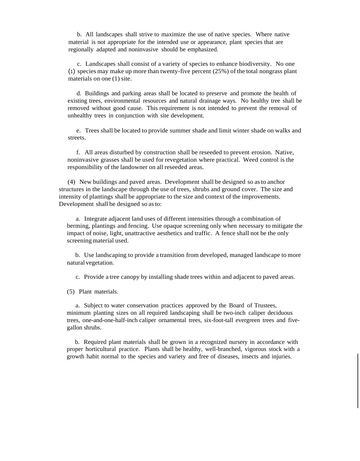b. All landscapes shall strive to maximize the use of native species. Where native material is not appropriate for the intended use or appearance, plant species that are regionally adapted and noninvasive should be emphasized.

c. Landscapes shall consist of a variety of species to enhance biodiversity. No one (1) species may make up more than twenty-five percent (25%) of the total nongrass plant materials on one (1) site.

d. Buildings and parking areas shall be located to preserve and promote the health of existing trees, environmental resources and natural drainage ways. No healthy tree shall be removed without good cause. This requirement is not intended to prevent the removal of unhealthy trees in conjunction with site development.

e. Trees shall be located to provide summer shade and limit winter shade on walks and streets.

f. All areas disturbed by construction shall be reseeded to prevent erosion. Native, noninvasive grasses shall be used for revegetation where practical. Weed control is the responsibility of the landowner on all reseeded areas.

(4) New buildings and paved areas. Development shall be designed so asto anchor structures in the landscape through the use of trees, shrubs and ground cover. The size and intensity of plantings shall be appropriate to the size and context of the improvements. Development shall be designed so asto:

a. Integrate adjacent land uses of different intensities through a combination of berming, plantings and fencing. Use opaque screening only when necessary to mitigate the impact of noise, light, unattractive aesthetics and traffic. A fence shall not be the only screening material used.

b. Use landscaping to provide a transition from developed, managed landscape to more natural vegetation.

c. Provide a tree canopy by installing shade trees within and adjacent to paved areas.

(5) Plant materials.

a. Subject to water conservation practices approved by the Board of Trustees, minimum planting sizes on all required landscaping shall be two-inch caliper deciduous trees, one-and-one-half-inch caliper ornamental trees, six-foot-tall evergreen trees and fivegallon shrubs.

b. Required plant materials shall be grown in a recognized nursery in accordance with proper horticultural practice. Plants shall be healthy, well-branched, vigorous stock with a growth habit normal to the species and variety and free of diseases, insects and injuries.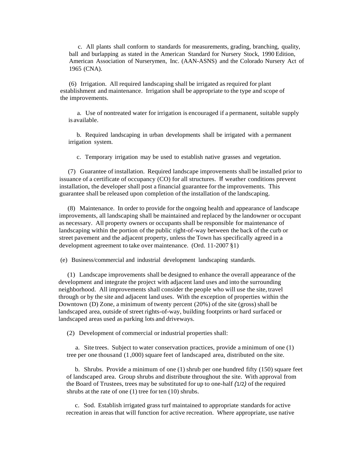c. All plants shall conform to standards for measurements, grading, branching, quality, ball and burlapping as stated in the American Standard for Nursery Stock, 1990 Edition, American Association of Nurserymen, Inc. (AAN-ASNS) and the Colorado Nursery Act of 1965 (CNA).

(6) Irrigation. All required landscaping shall be irrigated as required for plant establishment and maintenance. Irrigation shall be appropriate to the type and scope of the improvements.

a. Use of nontreated water for irrigation is encouraged if a permanent, suitable supply is available.

b. Required landscaping in urban developments shall be irrigated with a permanent irrigation system.

c. Temporary irrigation may be used to establish native grasses and vegetation.

(7) Guarantee of installation. Required landscape improvements shall be installed prior to issuance of a certificate of occupancy (CO) for all structures. If weather conditions prevent installation, the developer shall post a financial guarantee for the improvements. This guarantee shall be released upon completion of the installation of the landscaping.

(8) Maintenance. In order to provide for the ongoing health and appearance of landscape improvements, all landscaping shall be maintained and replaced by the landowner or occupant as necessary. All property owners or occupants shall be responsible for maintenance of landscaping within the portion of the public right-of-way between the back of the curb or street pavement and the adjacent property, unless the Town has specifically agreed in a development agreement to take over maintenance. (Ord. 11-2007 §1)

(e) Business/commercial and industrial development landscaping standards.

(1) Landscape improvements shall be designed to enhance the overall appearance of the development and integrate the project with adjacent land uses and into the surrounding neighborhood. All improvements shall consider the people who will use the site, travel through or by the site and adjacent land uses. With the exception of properties within the Downtown (D) Zone, a minimum of twenty percent (20%) of the site (gross) shall be landscaped area, outside of street rights-of-way, building footprints or hard surfaced or landscaped areas used as parking lots and driveways.

(2) Development of commercial or industrial properties shall:

a. Site trees. Subject to water conservation practices, provide a minimum of one (1) tree per one thousand (1 ,000) square feet of landscaped area, distributed on the site.

b. Shrubs. Provide a minimum of one (1) shrub per one hundred fifty (150) square feet of landscaped area. Group shrubs and distribute throughout the site. With approval from the Board of Trustees, trees may be substituted for up to one-half *(*1/2*)* of the required shrubs at the rate of one (1) tree for ten (10) shrubs.

c. Sod. Establish irrigated grass turf maintained to appropriate standards for active recreation in areasthat will function for active recreation. Where appropriate, use native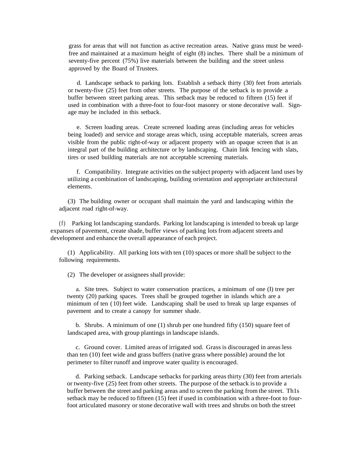grass for areas that will not function as active recreation areas. Native grass must be weedfree and maintained at a maximum height of eight (8) inches. There shall be a minimum of seventy-five percent (75%) live materials between the building and the street unless approved by the Board of Trustees.

d. Landscape setback to parking lots. Establish a setback thirty (30) feet from arterials or twenty-five (25) feet from other streets. The purpose of the setback is to provide a buffer between street parking areas. This setback may be reduced to fifteen (15) feet if used in combination with a three-foot to four-foot masonry or stone decorative wall. Signage may be included in this setback.

e. Screen loading areas. Create screened loading areas (including areas for vehicles being loaded) and service and storage areas which, using acceptable materials, screen areas visible from the public right-of-way or adjacent property with an opaque screen that is an integral part of the building architecture or by landscaping. Chain link fencing with slats, tires or used building materials are not acceptable screening materials.

f. Compatibility. Integrate activities on the subject property with adjacent land uses by utilizing a combination of landscaping, building orientation and appropriate architectural elements.

(3) The building owner or occupant shall maintain the yard and landscaping within the adjacent road right-of-way.

(f) Parking lot landscaping standards. Parking lot landscaping is intended to break up large expanses of pavement, create shade, buffer views of parking lots from adjacent streets and development and enhance the overall appearance of each project.

(1) Applicability. All parking lots with ten (10) spaces or more shall be subject to the following requirements.

(2) The developer or assignees shall provide:

a. Site trees. Subject to water conservation practices, a minimum of one (I) tree per twenty (20) parking spaces. Trees shall be grouped together in islands which are a minimum of ten (10) feet wide. Landscaping shall be used to break up large expanses of pavement and to create a canopy for summer shade.

b. Shrubs. A minimum of one (1) shrub per one hundred fifty (150) square feet of landscaped area, with group plantings in landscape islands.

c. Ground cover. Limited areas of irrigated sod. Grass is discouraged in areas less than ten (10) feet wide and grass buffers (native grass where possible) around the lot perimeter to filter runoff and improve water quality is encouraged.

d. Parking setback. Landscape setbacks for parking areasthirty (30) feet from arterials or twenty-five (25) feet from other streets. The purpose of the setback isto provide a buffer between the street and parking areas and to screen the parking from the street. Th1s setback may be reduced to fifteen (15) feet if used in combination with a three-foot to fourfoot articulated masonry or stone decorative wall with trees and shrubs on both the street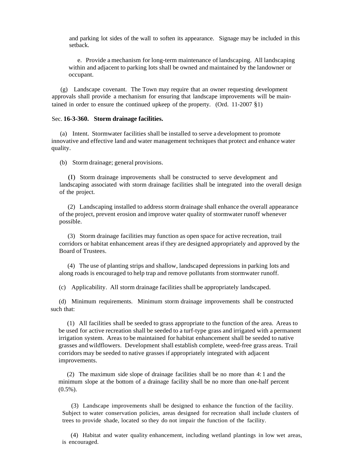and parking lot sides of the wall to soften its appearance. Signage may be included in this setback.

e. Provide a mechanism for long-term maintenance of landscaping. All landscaping within and adjacent to parking lots shall be owned and maintained by the landowner or occupant.

(g) Landscape covenant. The Town may require that an owner requesting development approvals shall provide a mechanism for ensuring that landscape improvements will be maintained in order to ensure the continued upkeep of the property. (Ord.  $11{\text -}2007 \text{ }\text{\&}1$ )

#### Sec. **16-3-360. Storm drainage facilities.**

(a) Intent. Stormwater facilities shall be installed to serve a development to promote innovative and effective land and water management techniques that protect and enhance water quality.

(b) Stormdrainage; general provisions.

(I) Storm drainage improvements shall be constructed to serve development and landscaping associated with storm drainage facilities shall be integrated into the overall design of the project.

(2) Landscaping installed to address storm drainage shall enhance the overall appearance of the project, prevent erosion and improve water quality of stormwater runoff whenever possible.

(3) Storm drainage facilities may function as open space for active recreation, trail corridors or habitat enhancement areas if they are designed appropriately and approved by the Board of Trustees.

(4) The use of planting strips and shallow, landscaped depressions in parking lots and along roads is encouraged to help trap and remove pollutants from stormwater runoff.

(c) Applicability. All storm drainage facilities shall be appropriately landscaped.

(d) Minimum requirements. Minimum storm drainage improvements shall be constructed such that:

(1) All facilities shall be seeded to grass appropriate to the function of the area. Areas to be used for active recreation shall be seeded to a turf-type grass and irrigated with a permanent irrigation system. Areas to be maintained for habitat enhancement shall be seeded to native grasses and wildflowers. Development shall establish complete, weed-free grass areas. Trail corridors may be seeded to native grasses if appropriately integrated with adjacent improvements.

(2) The maximum side slope of drainage facilities shall be no more than 4: 1 and the minimum slope at the bottom of a drainage facility shall be no more than one-half percent (0.5%).

(3) Landscape improvements shall be designed to enhance the function of the facility. Subject to water conservation policies, areas designed for recreation shall include clusters of trees to provide shade, located so they do not impair the function of the facility.

(4) Habitat and water quality enhancement, including wetland plantings in low wet areas, is encouraged.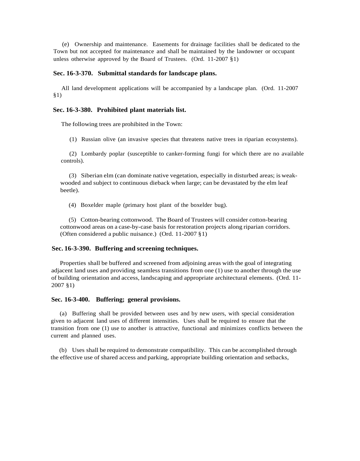(e) Ownership and maintenance. Easements for drainage facilities shall be dedicated to the Town but not accepted for maintenance and shall be maintained by the landowner or occupant unless otherwise approved by the Board of Trustees. (Ord. 11-2007 §1)

#### **Sec. 16-3-370. Submittal standards for landscape plans.**

All land development applications will be accompanied by a landscape plan. (Ord. 11-2007 §1)

#### **Sec. 16-3-380. Prohibited plant materials list.**

The following trees are prohibited in the Town:

(1) Russian olive (an invasive species that threatens native trees in riparian ecosystems).

(2) Lombardy poplar (susceptible to canker-forming fungi for which there are no available controls).

(3) Siberian elm (can dominate native vegetation, especially in disturbed areas; is weakwooded and subject to continuous dieback when large; can be devastated by the elm leaf beetle).

(4) Boxelder maple (primary host plant of the boxelder bug).

(5) Cotton-bearing cottonwood. The Board of Trustees will consider cotton-bearing cottonwood areas on a case-by-case basis for restoration projects along riparian corridors. (Often considered a public nuisance.) (Ord. 11-2007 §1)

#### **Sec. 16-3-390. Buffering and screening techniques.**

Properties shall be buffered and screened from adjoining areas with the goal of integrating adjacent land uses and providing seamless transitions from one (1) use to another through the use of building orientation and access, landscaping and appropriate architectural elements. (Ord. 11- 2007 §1)

#### **Sec. 16-3-400. Buffering; general provisions.**

(a) Buffering shall be provided between uses and by new users, with special consideration given to adjacent land uses of different intensities. Uses shall be required to ensure that the transition from one (1) use to another is attractive, functional and minimizes conflicts between the current and planned uses.

(b) Uses shall be required to demonstrate compatibility. This can be accomplished through the effective use of shared access and parking, appropriate building orientation and setbacks,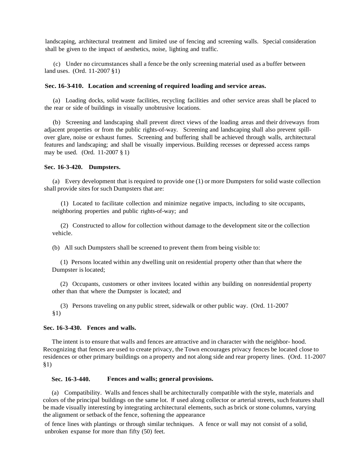landscaping, architectural treatment and limited use of fencing and screening walls. Special consideration shall be given to the impact of aesthetics, noise, lighting and traffic.

(c) Under no circumstances shall a fence be the only screening material used as a buffer between land uses. (Ord. 11-2007 §1)

#### **Sec. 16-3-410. Location and screening of required loading and service areas.**

(a) Loading docks, solid waste facilities, recycling facilities and other service areas shall be placed to the rear or side of buildings in visually unobtrusive locations.

(b) Screening and landscaping shall prevent direct views of the loading areas and their driveways from adjacent properties or from the public rights-of-way. Screening and landscaping shall also prevent spillover glare, noise or exhaust fumes. Screening and buffering shall be achieved through walls, architectural features and landscaping; and shall be visually impervious. Building recesses or depressed access ramps may be used. (Ord. 11-2007 § 1)

#### **Sec. 16-3-420. Dumpsters.**

(a) Every development that is required to provide one (1) or more Dumpsters for solid waste collection shall provide sites for such Dumpsters that are:

(1) Located to facilitate collection and minimize negative impacts, including to site occupants, neighboring properties and public rights-of-way; and

(2) Constructed to allow for collection without damage to the development site or the collection vehicle.

(b) All such Dumpsters shall be screened to prevent them from being visible to:

(1) Persons located within any dwelling unit on residential property other than that where the Dumpster is located;

(2) Occupants, customers or other invitees located within any building on nonresidential property other than that where the Dumpster is located; and

(3) Persons traveling on any public street, sidewalk or other public way. (Ord. 11-2007 §1)

#### **Sec. 16-3-430. Fences and walls.**

The intent is to ensure that walls and fences are attractive and in character with the neighbor- hood. Recognizing that fences are used to create privacy, the Town encourages privacy fences be located close to residences or other primary buildings on a property and not along side and rear property lines. (Ord. 11-2007 §1)

#### **Sec. 16-3-440. Fences and walls; general provisions.**

(a) Compatibility. Walls and fences shall be architecturally compatible with the style, materials and colors of the principal buildings on the same lot. If used along collector or arterial streets, such features shall be made visually interesting by integrating architectural elements, such as brick or stone columns, varying the alignment or setback of the fence, softening the appearance

of fence lines with plantings or through similar techniques. A fence or wall may not consist of a solid, unbroken expanse for more than fifty (50) feet.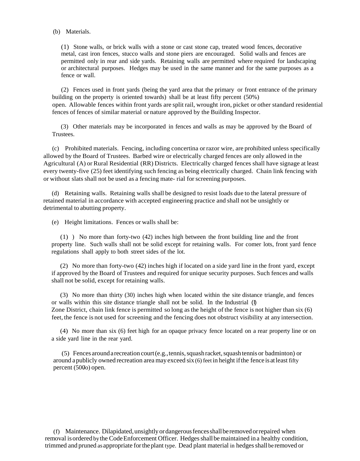#### (b) Materials.

(1) Stone walls, or brick walls with a stone or cast stone cap, treated wood fences, decorative metal, cast iron fences, stucco walls and stone piers are encouraged. Solid walls and fences are permitted only in rear and side yards. Retaining walls are permitted where required for landscaping or architectural purposes. Hedges may be used in the same manner and for the same purposes as a fence or wall.

(2) Fences used in front yards (being the yard area that the primary or front entrance of the primary building on the property is oriented towards) shall be at least fifty percent (50%) open. Allowable fences within front yards are split rail, wrought iron, picket or other standard residential fences of fences of similar material or nature approved by the Building Inspector.

(3) Other materials may be incorporated in fences and walls as may be approved by the Board of Trustees.

(c) Prohibited materials. Fencing, including concertina orrazor wire, are prohibited unless specifically allowed by the Board of Trustees. Barbed wire or electrically charged fences are only allowed in the Agricultural (A) or Rural Residential (RR) Districts. Electrically charged fences shall have signage at least every twenty-five (25) feet identifying such fencing as being electrically charged. Chain link fencing with or without slats shall not be used as a fencing mate- rial for screening purposes.

(d) Retaining walls. Retaining walls shall be designed to resist loads due to the lateral pressure of retained material in accordance with accepted engineering practice and shall not be unsightly or detrimental to abutting property.

(e) Height limitations. Fences or walls shall be:

(1) ) No more than forty-two (42) inches high between the front building line and the front property line. Such walls shall not be solid except for retaining walls. For comer lots, front yard fence regulations shall apply to both street sides of the lot.

(2) No more than forty-two (42) inches high if located on a side yard line in the front yard, except if approved by the Board of Trustees and required for unique security purposes. Such fences and walls shall not be solid, except for retaining walls.

(3) No more than thirty (30) inches high when located within the site distance triangle, and fences or walls within this site distance triangle shall not be solid. In the Industrial (I) Zone District, chain link fence is permitted so long asthe height of the fence is not higher than six (6) feet, the fence is not used for screening and the fencing does not obstruct visibility at any intersection.

(4) No more than six (6) feet high for an opaque privacy fence located on a rear property line or on a side yard line in the rear yard.

(5) Fences around a recreation court (e.g., tennis, squash racket, squash tennis or badminton) or around apublicly owned recreation area may exceed six (6) feet in height ifthe fence isatleast fifty percent (500o) open.

(f) Maintenance. Dilapidated,unsightlyordangerousfencesshallberemovedorrepaired when removal is ordered by the Code Enforcement Officer. Hedges shall be maintained in a healthy condition, trimmed and pruned as appropriate fortheplant type. Dead plant material in hedgesshall be removed or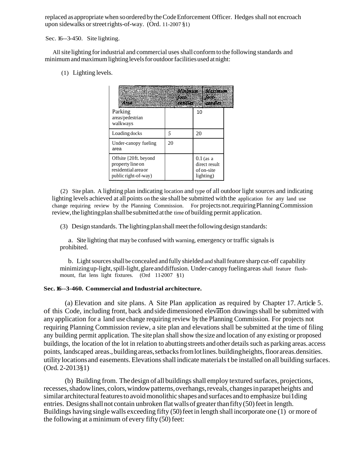replaced as appropriate when soordered bytheCodeEnforcement Officer. Hedges shall not encroach upon sidewalks or street rights-of-way. (Ord. 11-2007 §1)

Sec. 16--3-450. Site lighting.

All site lighting for industrial and commercial uses shall conform to the following standards and minimum and maximum lighting levels for outdoor facilities used at night:

(1) Lighting levels.

| Parking<br>areas/pedestrian<br>walkways                                                  | <b>Brandles</b> | 10                                                      |  |
|------------------------------------------------------------------------------------------|-----------------|---------------------------------------------------------|--|
| Loading docks                                                                            |                 | 20                                                      |  |
| Under-canopy fueling<br>area                                                             | 20              |                                                         |  |
| Offsite {20ft. beyond<br>property line on<br>residential area or<br>public right-of-way) |                 | $0.1$ (as a<br>direct result<br>of on-site<br>lighting) |  |

(2) Site plan. A lighting plan indicating location and type of all outdoor light sources and indicating lighting levels achieved at all points on the site shall be submitted with the application for any land use change requiring review by the Planning Commission. For projectsnot.requiringPlanningCommission review,thelightingplan shallbesubmittedatthe time of building permit application.

(3) Design standards. The lightingplanshallmeetthefollowing design standards:

a. Site lighting that may be confused with warning, emergency or traffic signals is prohibited.

b. Light sources shall be concealed and fully shielded and shall feature sharp cut-off capability minimizing up-light, spill-light, glare and diffusion. Under-canopy fueling areas shall feature flushmount, flat lens light fixtures. (Ord 11-2007 §1)

#### **Sec. 16--3-460. Commercial and Industrial architecture.**

(a) Elevation and site plans. A Site Plan application as required by Chapter 17. Article 5. of this Code, including front, back and side dimensioned elevation drawings shall be submitted with any application for a land use change requiring review by the Planning Commission. For projects not requiring Planning Commission review, a site plan and elevations shall be submitted at the time of filing any building permit application. The site plan shall show the size and location of any existing or proposed buildings, the location of the lot in relation to abuttingstreets and other details such as parking areas.access points, landscaped areas., building areas, setbacks from lot lines. building heights, floorareas.densities. utility locations and easements. Elevations shall indicate materials t be installed on all building surfaces. (Ord. 2-2013§1)

(b) Building from. Thedesign of all buildingsshall employ textured surfaces, projections, recesses, shadow lines, colors, window patterns, overhangs, reveals, changes in parapetheights and similar architectural features to avoid monolithic shapes and surfaces and to emphasize building entries. Designs shall not contain unbroken flat walls of greater than fifty (50) feet in length. Buildings having single walls exceeding fifty  $(50)$  feet in length shall incorporate one  $(1)$  or more of the following at a minimum of every fifty  $(50)$  feet: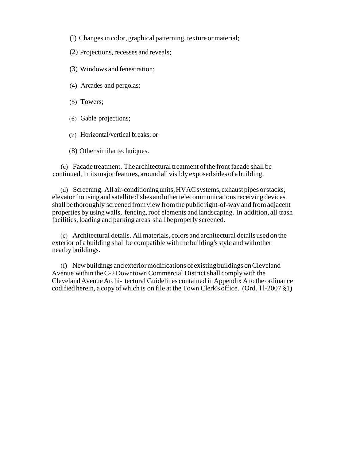- (1) Changes in color, graphical patterning, texture or material;
- (2) Projections, recesses and reveals;
- (3) Windows and fenestration;
- (4) Arcades and pergolas;
- (5) Towers;
- (6) Gable projections;
- (7) Horizontal/vertical breaks; or

(8) Other similar techniques.

(c) Facade treatment. The architectural treatment ofthe frontfacade shall be continued, in its major features, around all visibly exposed sides of a building.

(d) Screening. All air-conditioningunits,HVACsystems,exhaust pipes orstacks, elevator housingand satellitedishesandothertelecommunicationsreceiving devices shallbe thoroughly screened fromview fromthepublic right-of-way and fromadjacent properties by usingwalls, fencing,roof elements and landscaping. In addition, all trash facilities, loading and parking areas shallbeproperly screened.

(e) Architectural details. Allmaterials, colors and architectural details used on the exterior of a building shall be compatible with the building'sstyle and withother nearby buildings.

(f) Newbuildings andexteriormodifications ofexistingbuildings onCleveland Avenue within the C-2 Downtown Commercial District shall comply with the ClevelandAvenueArchi- tectural Guidelines contained inAppendix A to the ordinance codified herein, a copy ofwhich is on file at the Town Clerk's office. (Ord. l l-2007 §1)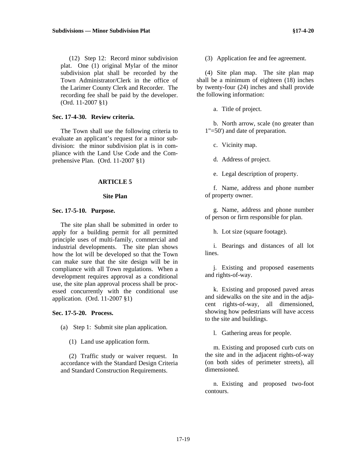(12) Step 12: Record minor subdivision plat. One (1) original Mylar of the minor subdivision plat shall be recorded by the Town Administrator/Clerk in the office of the Larimer County Clerk and Recorder. The recording fee shall be paid by the developer. (Ord. 11-2007 §1)

#### **Sec. 17-4-30. Review criteria.**

The Town shall use the following criteria to evaluate an applicant's request for a minor subdivision: the minor subdivision plat is in compliance with the Land Use Code and the Comprehensive Plan. (Ord. 11-2007 §1)

#### **ARTICLE 5**

#### **Site Plan**

#### **Sec. 17-5-10. Purpose.**

The site plan shall be submitted in order to apply for a building permit for all permitted principle uses of multi-family, commercial and industrial developments. The site plan shows how the lot will be developed so that the Town can make sure that the site design will be in compliance with all Town regulations. When a development requires approval as a conditional use, the site plan approval process shall be processed concurrently with the conditional use application. (Ord. 11-2007 §1)

#### **Sec. 17-5-20. Process.**

(a) Step 1: Submit site plan application.

(1) Land use application form.

(2) Traffic study or waiver request. In accordance with the Standard Design Criteria and Standard Construction Requirements.

(3) Application fee and fee agreement.

(4) Site plan map. The site plan map shall be a minimum of eighteen (18) inches by twenty-four (24) inches and shall provide the following information:

a. Title of project.

b. North arrow, scale (no greater than 1"=50') and date of preparation.

c. Vicinity map.

d. Address of project.

e. Legal description of property.

f. Name, address and phone number of property owner.

g. Name, address and phone number of person or firm responsible for plan.

h. Lot size (square footage).

i. Bearings and distances of all lot lines.

j. Existing and proposed easements and rights-of-way.

k. Existing and proposed paved areas and sidewalks on the site and in the adjacent rights-of-way, all dimensioned, showing how pedestrians will have access to the site and buildings.

l. Gathering areas for people.

m. Existing and proposed curb cuts on the site and in the adjacent rights-of-way (on both sides of perimeter streets), all dimensioned.

n. Existing and proposed two-foot contours.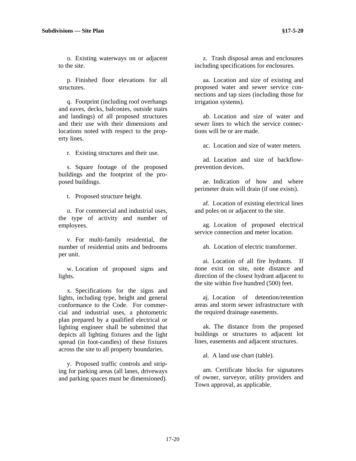o. Existing waterways on or adjacent to the site.

p. Finished floor elevations for all structures.

q. Footprint (including roof overhangs and eaves, decks, balconies, outside stairs and landings) of all proposed structures and their use with their dimensions and locations noted with respect to the property lines.

r. Existing structures and their use.

s. Square footage of the proposed buildings and the footprint of the proposed buildings.

t. Proposed structure height.

u. For commercial and industrial uses, the type of activity and number of employees.

v. For multi-family residential, the number of residential units and bedrooms per unit.

w. Location of proposed signs and lights.

x. Specifications for the signs and lights, including type, height and general conformance to the Code. For commercial and industrial uses, a photometric plan prepared by a qualified electrical or lighting engineer shall be submitted that depicts all lighting fixtures and the light spread (in foot-candles) of these fixtures across the site to all property boundaries.

y. Proposed traffic controls and striping for parking areas (all lanes, driveways and parking spaces must be dimensioned).

z. Trash disposal areas and enclosures including specifications for enclosures.

aa. Location and size of existing and proposed water and sewer service connections and tap sizes (including those for irrigation systems).

ab. Location and size of water and sewer lines to which the service connections will be or are made.

ac. Location and size of water meters.

ad. Location and size of backflowprevention devices.

ae. Indication of how and where perimeter drain will drain (if one exists).

af. Location of existing electrical lines and poles on or adjacent to the site.

ag. Location of proposed electrical service connection and meter location.

ah. Location of electric transformer.

ai. Location of all fire hydrants. If none exist on site, note distance and direction of the closest hydrant adjacent to the site within five hundred (500) feet.

aj. Location of detention/retention areas and storm sewer infrastructure with the required drainage easements.

ak. The distance from the proposed buildings or structures to adjacent lot lines, easements and adjacent structures.

al. A land use chart (table).

am. Certificate blocks for signatures of owner, surveyor, utility providers and Town approval, as applicable.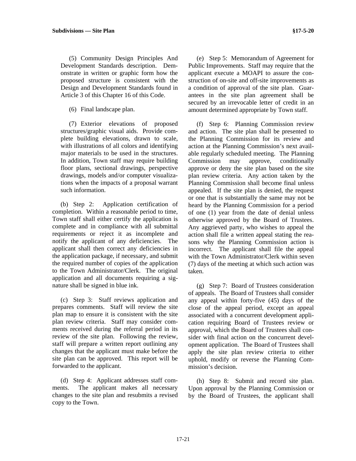(5) Community Design Principles And Development Standards description. Demonstrate in written or graphic form how the proposed structure is consistent with the Design and Development Standards found in Article 3 of this Chapter 16 of this Code.

(6) Final landscape plan.

(7) Exterior elevations of proposed structures/graphic visual aids. Provide complete building elevations, drawn to scale, with illustrations of all colors and identifying major materials to be used in the structures. In addition, Town staff may require building floor plans, sectional drawings, perspective drawings, models and/or computer visualizations when the impacts of a proposal warrant such information.

(b) Step 2: Application certification of completion. Within a reasonable period to time, Town staff shall either certify the application is complete and in compliance with all submittal requirements or reject it as incomplete and notify the applicant of any deficiencies. The applicant shall then correct any deficiencies in the application package, if necessary, and submit the required number of copies of the application to the Town Administrator/Clerk. The original application and all documents requiring a signature shall be signed in blue ink.

(c) Step 3: Staff reviews application and prepares comments. Staff will review the site plan map to ensure it is consistent with the site plan review criteria. Staff may consider comments received during the referral period in its review of the site plan. Following the review, staff will prepare a written report outlining any changes that the applicant must make before the site plan can be approved. This report will be forwarded to the applicant.

(d) Step 4: Applicant addresses staff comments. The applicant makes all necessary changes to the site plan and resubmits a revised copy to the Town.

(e) Step 5: Memorandum of Agreement for Public Improvements. Staff may require that the applicant execute a MOAPI to assure the construction of on-site and off-site improvements as a condition of approval of the site plan. Guarantees in the site plan agreement shall be secured by an irrevocable letter of credit in an amount determined appropriate by Town staff.

(f) Step 6: Planning Commission review and action. The site plan shall be presented to the Planning Commission for its review and action at the Planning Commission's next available regularly scheduled meeting. The Planning Commission may approve, conditionally approve or deny the site plan based on the site plan review criteria. Any action taken by the Planning Commission shall become final unless appealed. If the site plan is denied, the request or one that is substantially the same may not be heard by the Planning Commission for a period of one (1) year from the date of denial unless otherwise approved by the Board of Trustees. Any aggrieved party, who wishes to appeal the action shall file a written appeal stating the reasons why the Planning Commission action is incorrect. The applicant shall file the appeal with the Town Administrator/Clerk within seven (7) days of the meeting at which such action was taken.

(g) Step 7: Board of Trustees consideration of appeals. The Board of Trustees shall consider any appeal within forty-five (45) days of the close of the appeal period, except an appeal associated with a concurrent development application requiring Board of Trustees review or approval, which the Board of Trustees shall consider with final action on the concurrent development application. The Board of Trustees shall apply the site plan review criteria to either uphold, modify or reverse the Planning Commission's decision.

(h) Step 8: Submit and record site plan. Upon approval by the Planning Commission or by the Board of Trustees, the applicant shall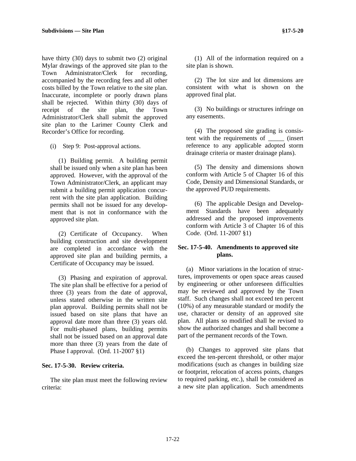have thirty (30) days to submit two (2) original Mylar drawings of the approved site plan to the Town Administrator/Clerk for recording, accompanied by the recording fees and all other costs billed by the Town relative to the site plan. Inaccurate, incomplete or poorly drawn plans shall be rejected. Within thirty (30) days of receipt of the site plan, the Town Administrator/Clerk shall submit the approved site plan to the Larimer County Clerk and Recorder's Office for recording.

(i) Step 9: Post-approval actions.

(1) Building permit. A building permit shall be issued only when a site plan has been approved. However, with the approval of the Town Administrator/Clerk, an applicant may submit a building permit application concurrent with the site plan application. Building permits shall not be issued for any development that is not in conformance with the approved site plan.

(2) Certificate of Occupancy. When building construction and site development are completed in accordance with the approved site plan and building permits, a Certificate of Occupancy may be issued.

(3) Phasing and expiration of approval. The site plan shall be effective for a period of three (3) years from the date of approval, unless stated otherwise in the written site plan approval. Building permits shall not be issued based on site plans that have an approval date more than three (3) years old. For multi-phased plans, building permits shall not be issued based on an approval date more than three (3) years from the date of Phase I approval. (Ord. 11-2007 §1)

#### **Sec. 17-5-30. Review criteria.**

The site plan must meet the following review criteria:

(1) All of the information required on a site plan is shown.

(2) The lot size and lot dimensions are consistent with what is shown on the approved final plat.

(3) No buildings or structures infringe on any easements.

(4) The proposed site grading is consistent with the requirements of \_\_\_\_\_ (insert reference to any applicable adopted storm drainage criteria or master drainage plans).

(5) The density and dimensions shown conform with Article 5 of Chapter 16 of this Code, Density and Dimensional Standards, or the approved PUD requirements.

(6) The applicable Design and Development Standards have been adequately addressed and the proposed improvements conform with Article 3 of Chapter 16 of this Code. (Ord. 11-2007 §1)

#### **Sec. 17-5-40. Amendments to approved site plans.**

(a) Minor variations in the location of structures, improvements or open space areas caused by engineering or other unforeseen difficulties may be reviewed and approved by the Town staff. Such changes shall not exceed ten percent (10%) of any measurable standard or modify the use, character or density of an approved site plan. All plans so modified shall be revised to show the authorized changes and shall become a part of the permanent records of the Town.

(b) Changes to approved site plans that exceed the ten-percent threshold, or other major modifications (such as changes in building size or footprint, relocation of access points, changes to required parking, etc.), shall be considered as a new site plan application. Such amendments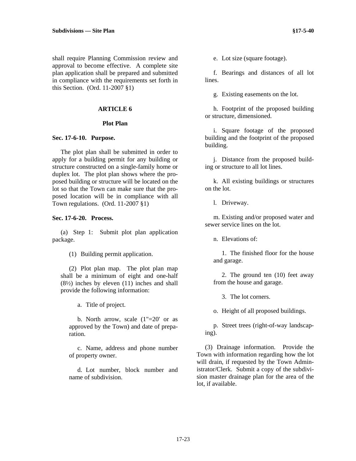shall require Planning Commission review and approval to become effective. A complete site plan application shall be prepared and submitted in compliance with the requirements set forth in this Section. (Ord. 11-2007 §1)

#### **ARTICLE 6**

#### **Plot Plan**

#### **Sec. 17-6-10. Purpose.**

The plot plan shall be submitted in order to apply for a building permit for any building or structure constructed on a single-family home or duplex lot. The plot plan shows where the proposed building or structure will be located on the lot so that the Town can make sure that the proposed location will be in compliance with all Town regulations. (Ord. 11-2007 §1)

#### **Sec. 17-6-20. Process.**

(a) Step 1: Submit plot plan application package.

(1) Building permit application.

(2) Plot plan map. The plot plan map shall be a minimum of eight and one-half  $(8\frac{1}{2})$  inches by eleven  $(11)$  inches and shall provide the following information:

a. Title of project.

b. North arrow, scale  $(1" = 20'$  or as approved by the Town) and date of preparation.

c. Name, address and phone number of property owner.

d. Lot number, block number and name of subdivision.

e. Lot size (square footage).

f. Bearings and distances of all lot lines.

g. Existing easements on the lot.

h. Footprint of the proposed building or structure, dimensioned.

i. Square footage of the proposed building and the footprint of the proposed building.

j. Distance from the proposed building or structure to all lot lines.

k. All existing buildings or structures on the lot.

l. Driveway.

m. Existing and/or proposed water and sewer service lines on the lot.

n. Elevations of:

1. The finished floor for the house and garage.

2. The ground ten (10) feet away from the house and garage.

3. The lot corners.

o. Height of all proposed buildings.

p. Street trees (right-of-way landscaping).

(3) Drainage information. Provide the Town with information regarding how the lot will drain, if requested by the Town Administrator/Clerk. Submit a copy of the subdivision master drainage plan for the area of the lot, if available.